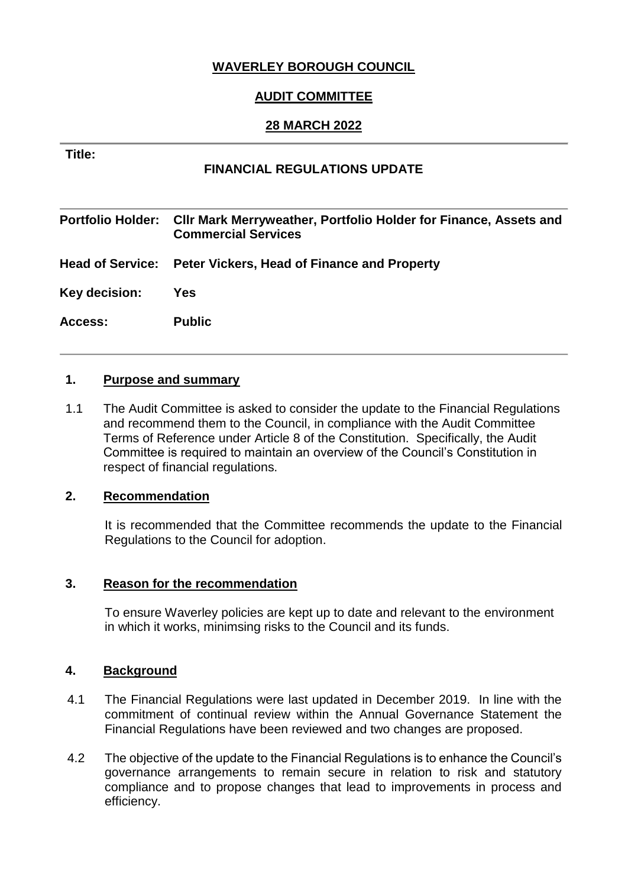# **WAVERLEY BOROUGH COUNCIL**

## **AUDIT COMMITTEE**

### **28 MARCH 2022**

#### **Title:**

### **FINANCIAL REGULATIONS UPDATE**

**Portfolio Holder: Cllr Mark Merryweather, Portfolio Holder for Finance, Assets and Commercial Services Head of Service: Peter Vickers, Head of Finance and Property Key decision: Yes Access: Public**

#### **1. Purpose and summary**

1.1 The Audit Committee is asked to consider the update to the Financial Regulations and recommend them to the Council, in compliance with the Audit Committee Terms of Reference under Article 8 of the Constitution. Specifically, the Audit Committee is required to maintain an overview of the Council's Constitution in respect of financial regulations.

#### **2. Recommendation**

It is recommended that the Committee recommends the update to the Financial Regulations to the Council for adoption.

#### **3. Reason for the recommendation**

To ensure Waverley policies are kept up to date and relevant to the environment in which it works, minimsing risks to the Council and its funds.

#### **4. Background**

- 4.1 The Financial Regulations were last updated in December 2019. In line with the commitment of continual review within the Annual Governance Statement the Financial Regulations have been reviewed and two changes are proposed.
- 4.2 The objective of the update to the Financial Regulations is to enhance the Council's governance arrangements to remain secure in relation to risk and statutory compliance and to propose changes that lead to improvements in process and efficiency.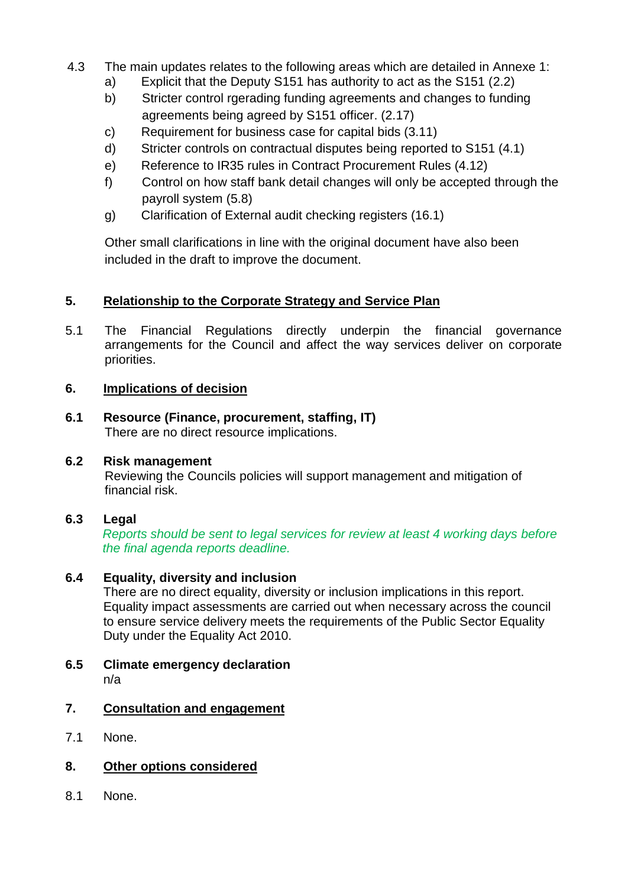- 4.3 The main updates relates to the following areas which are detailed in Annexe 1:
	- a) Explicit that the Deputy S151 has authority to act as the S151 (2.2)
	- b) Stricter control rgerading funding agreements and changes to funding agreements being agreed by S151 officer. (2.17)
	- c) Requirement for business case for capital bids (3.11)
	- d) Stricter controls on contractual disputes being reported to S151 (4.1)
	- e) Reference to IR35 rules in Contract Procurement Rules (4.12)
	- f) Control on how staff bank detail changes will only be accepted through the payroll system (5.8)
	- g) Clarification of External audit checking registers (16.1)

Other small clarifications in line with the original document have also been included in the draft to improve the document.

# **5. Relationship to the Corporate Strategy and Service Plan**

5.1 The Financial Regulations directly underpin the financial governance arrangements for the Council and affect the way services deliver on corporate priorities.

# **6. Implications of decision**

**6.1 Resource (Finance, procurement, staffing, IT)** There are no direct resource implications.

### **6.2 Risk management**

Reviewing the Councils policies will support management and mitigation of financial risk.

# **6.3 Legal**

*Reports should be sent to legal services for review at least 4 working days before the final agenda reports deadline.*

# **6.4 Equality, diversity and inclusion**

There are no direct equality, diversity or inclusion implications in this report. Equality impact assessments are carried out when necessary across the council to ensure service delivery meets the requirements of the Public Sector Equality Duty under the Equality Act 2010.

**6.5 Climate emergency declaration** n/a

# **7. Consultation and engagement**

- 7.1 None.
- **8. Other options considered**
- 8.1 None.